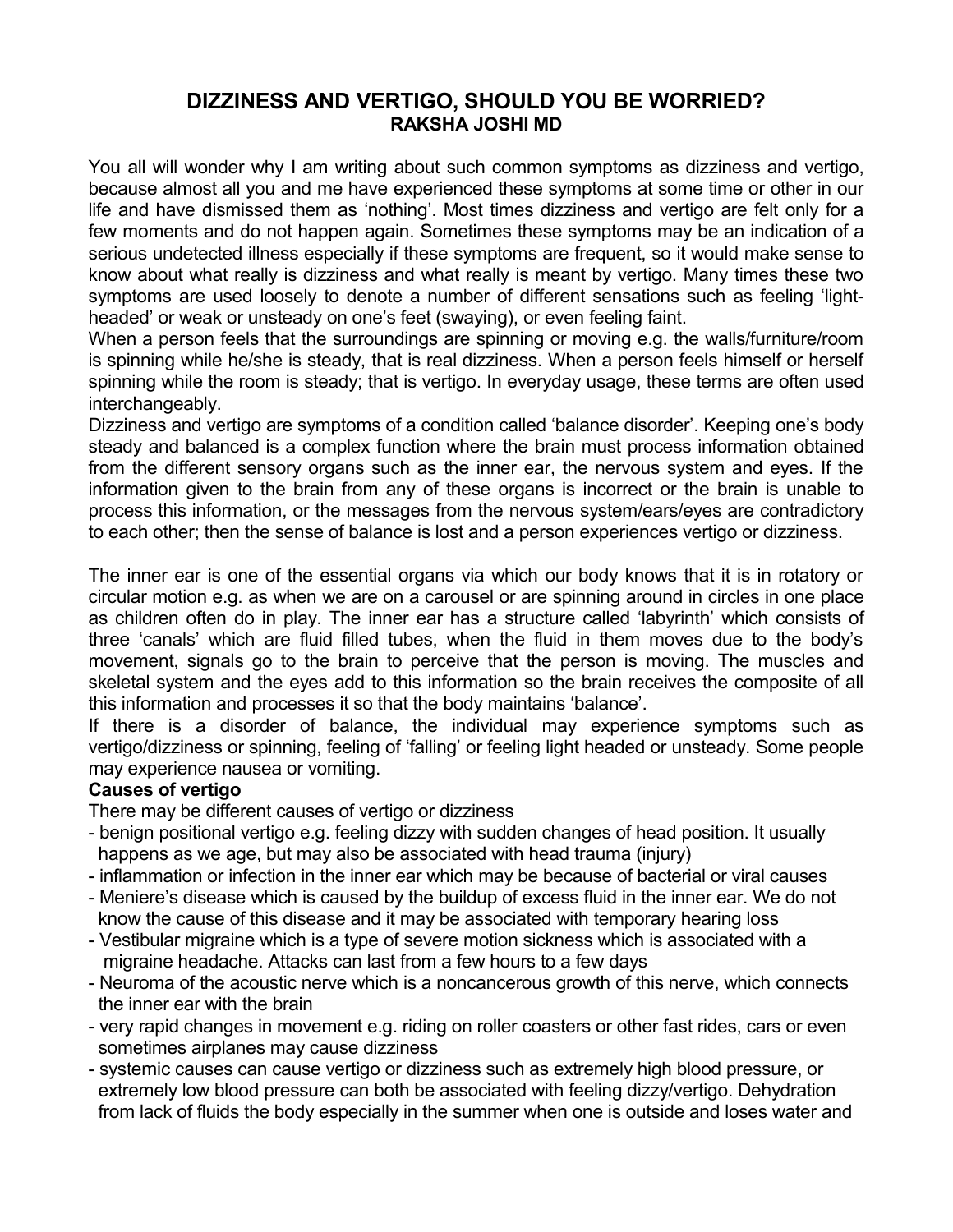## **DIZZINESS AND VERTIGO, SHOULD YOU BE WORRIED? RAKSHA JOSHI MD**

You all will wonder why I am writing about such common symptoms as dizziness and vertigo, because almost all you and me have experienced these symptoms at some time or other in our life and have dismissed them as 'nothing'. Most times dizziness and vertigo are felt only for a few moments and do not happen again. Sometimes these symptoms may be an indication of a serious undetected illness especially if these symptoms are frequent, so it would make sense to know about what really is dizziness and what really is meant by vertigo. Many times these two symptoms are used loosely to denote a number of different sensations such as feeling 'lightheaded' or weak or unsteady on one's feet (swaying), or even feeling faint.

When a person feels that the surroundings are spinning or moving e.g. the walls/furniture/room is spinning while he/she is steady, that is real dizziness. When a person feels himself or herself spinning while the room is steady; that is vertigo. In everyday usage, these terms are often used interchangeably.

Dizziness and vertigo are symptoms of a condition called 'balance disorder'. Keeping one's body steady and balanced is a complex function where the brain must process information obtained from the different sensory organs such as the inner ear, the nervous system and eyes. If the information given to the brain from any of these organs is incorrect or the brain is unable to process this information, or the messages from the nervous system/ears/eyes are contradictory to each other; then the sense of balance is lost and a person experiences vertigo or dizziness.

The inner ear is one of the essential organs via which our body knows that it is in rotatory or circular motion e.g. as when we are on a carousel or are spinning around in circles in one place as children often do in play. The inner ear has a structure called 'labyrinth' which consists of three 'canals' which are fluid filled tubes, when the fluid in them moves due to the body's movement, signals go to the brain to perceive that the person is moving. The muscles and skeletal system and the eyes add to this information so the brain receives the composite of all this information and processes it so that the body maintains 'balance'.

If there is a disorder of balance, the individual may experience symptoms such as vertigo/dizziness or spinning, feeling of 'falling' or feeling light headed or unsteady. Some people may experience nausea or vomiting.

## **Causes of vertigo**

There may be different causes of vertigo or dizziness

- benign positional vertigo e.g. feeling dizzy with sudden changes of head position. It usually happens as we age, but may also be associated with head trauma (injury)
- inflammation or infection in the inner ear which may be because of bacterial or viral causes
- Meniere's disease which is caused by the buildup of excess fluid in the inner ear. We do not know the cause of this disease and it may be associated with temporary hearing loss
- Vestibular migraine which is a type of severe motion sickness which is associated with a migraine headache. Attacks can last from a few hours to a few days
- Neuroma of the acoustic nerve which is a noncancerous growth of this nerve, which connects the inner ear with the brain
- very rapid changes in movement e.g. riding on roller coasters or other fast rides, cars or even sometimes airplanes may cause dizziness
- systemic causes can cause vertigo or dizziness such as extremely high blood pressure, or extremely low blood pressure can both be associated with feeling dizzy/vertigo. Dehydration from lack of fluids the body especially in the summer when one is outside and loses water and